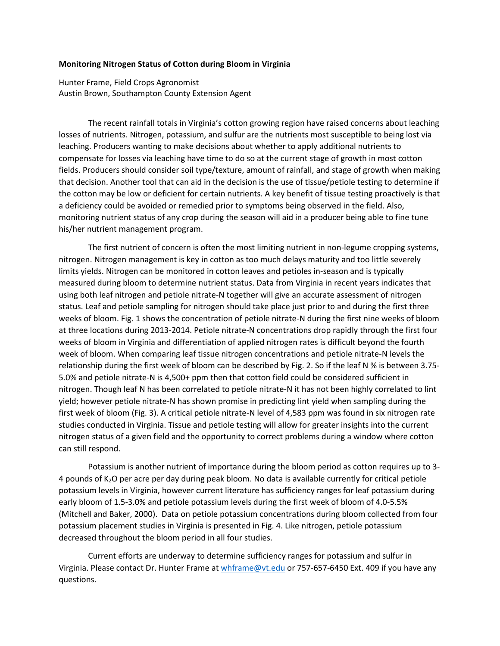## **Monitoring Nitrogen Status of Cotton during Bloom in Virginia**

Hunter Frame, Field Crops Agronomist Austin Brown, Southampton County Extension Agent

The recent rainfall totals in Virginia's cotton growing region have raised concerns about leaching losses of nutrients. Nitrogen, potassium, and sulfur are the nutrients most susceptible to being lost via leaching. Producers wanting to make decisions about whether to apply additional nutrients to compensate for losses via leaching have time to do so at the current stage of growth in most cotton fields. Producers should consider soil type/texture, amount of rainfall, and stage of growth when making that decision. Another tool that can aid in the decision is the use of tissue/petiole testing to determine if the cotton may be low or deficient for certain nutrients. A key benefit of tissue testing proactively is that a deficiency could be avoided or remedied prior to symptoms being observed in the field. Also, monitoring nutrient status of any crop during the season will aid in a producer being able to fine tune his/her nutrient management program.

The first nutrient of concern is often the most limiting nutrient in non-legume cropping systems, nitrogen. Nitrogen management is key in cotton as too much delays maturity and too little severely limits yields. Nitrogen can be monitored in cotton leaves and petioles in-season and is typically measured during bloom to determine nutrient status. Data from Virginia in recent years indicates that using both leaf nitrogen and petiole nitrate-N together will give an accurate assessment of nitrogen status. Leaf and petiole sampling for nitrogen should take place just prior to and during the first three weeks of bloom. Fig. 1 shows the concentration of petiole nitrate-N during the first nine weeks of bloom at three locations during 2013-2014. Petiole nitrate-N concentrations drop rapidly through the first four weeks of bloom in Virginia and differentiation of applied nitrogen rates is difficult beyond the fourth week of bloom. When comparing leaf tissue nitrogen concentrations and petiole nitrate-N levels the relationship during the first week of bloom can be described by Fig. 2. So if the leaf N % is between 3.75- 5.0% and petiole nitrate-N is 4,500+ ppm then that cotton field could be considered sufficient in nitrogen. Though leaf N has been correlated to petiole nitrate-N it has not been highly correlated to lint yield; however petiole nitrate-N has shown promise in predicting lint yield when sampling during the first week of bloom (Fig. 3). A critical petiole nitrate-N level of 4,583 ppm was found in six nitrogen rate studies conducted in Virginia. Tissue and petiole testing will allow for greater insights into the current nitrogen status of a given field and the opportunity to correct problems during a window where cotton can still respond.

Potassium is another nutrient of importance during the bloom period as cotton requires up to 3- 4 pounds of K2O per acre per day during peak bloom. No data is available currently for critical petiole potassium levels in Virginia, however current literature has sufficiency ranges for leaf potassium during early bloom of 1.5-3.0% and petiole potassium levels during the first week of bloom of 4.0-5.5% (Mitchell and Baker, 2000). Data on petiole potassium concentrations during bloom collected from four potassium placement studies in Virginia is presented in Fig. 4. Like nitrogen, petiole potassium decreased throughout the bloom period in all four studies.

Current efforts are underway to determine sufficiency ranges for potassium and sulfur in Virginia. Please contact Dr. Hunter Frame a[t whframe@vt.edu](mailto:whframe@vt.edu) or 757-657-6450 Ext. 409 if you have any questions.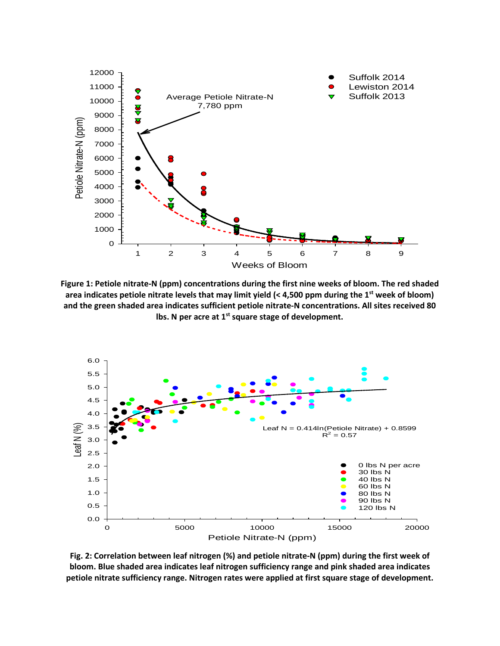

**Figure 1: Petiole nitrate-N (ppm) concentrations during the first nine weeks of bloom. The red shaded area indicates petiole nitrate levels that may limit yield (< 4,500 ppm during the 1st week of bloom) and the green shaded area indicates sufficient petiole nitrate-N concentrations. All sites received 80 lbs. N per acre at 1st square stage of development.** 



**Fig. 2: Correlation between leaf nitrogen (%) and petiole nitrate-N (ppm) during the first week of bloom. Blue shaded area indicates leaf nitrogen sufficiency range and pink shaded area indicates petiole nitrate sufficiency range. Nitrogen rates were applied at first square stage of development.**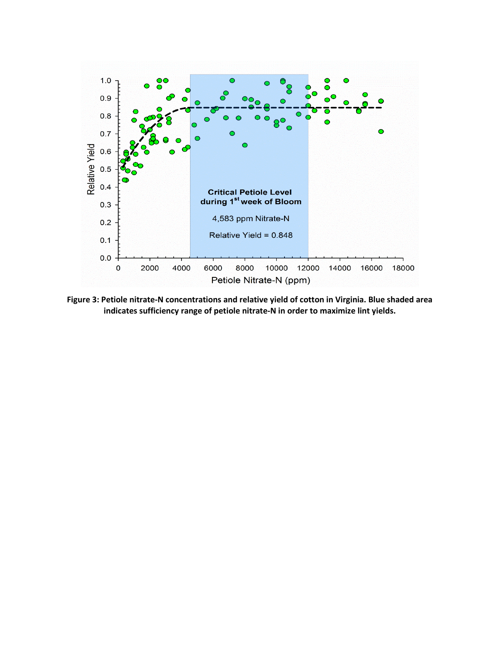

**Figure 3: Petiole nitrate-N concentrations and relative yield of cotton in Virginia. Blue shaded area indicates sufficiency range of petiole nitrate-N in order to maximize lint yields.**